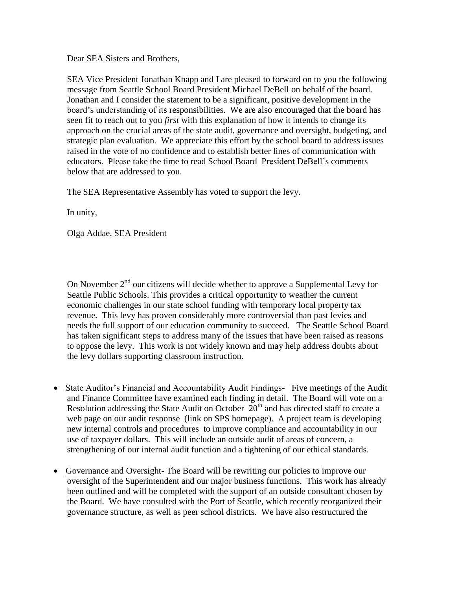Dear SEA Sisters and Brothers,

SEA Vice President Jonathan Knapp and I are pleased to forward on to you the following message from Seattle School Board President Michael DeBell on behalf of the board. Jonathan and I consider the statement to be a significant, positive development in the board's understanding of its responsibilities. We are also encouraged that the board has seen fit to reach out to you *first* with this explanation of how it intends to change its approach on the crucial areas of the state audit, governance and oversight, budgeting, and strategic plan evaluation. We appreciate this effort by the school board to address issues raised in the vote of no confidence and to establish better lines of communication with educators. Please take the time to read School Board President DeBell's comments below that are addressed to you.

The SEA Representative Assembly has voted to support the levy.

In unity,

Olga Addae, SEA President

On November  $2<sup>nd</sup>$  our citizens will decide whether to approve a Supplemental Levy for Seattle Public Schools. This provides a critical opportunity to weather the current economic challenges in our state school funding with temporary local property tax revenue. This levy has proven considerably more controversial than past levies and needs the full support of our education community to succeed. The Seattle School Board has taken significant steps to address many of the issues that have been raised as reasons to oppose the levy. This work is not widely known and may help address doubts about the levy dollars supporting classroom instruction.

- State Auditor's Financial and Accountability Audit Findings- Five meetings of the Audit and Finance Committee have examined each finding in detail. The Board will vote on a Resolution addressing the State Audit on October  $20<sup>th</sup>$  and has directed staff to create a web page on our audit response (link on SPS homepage). A project team is developing new internal controls and procedures to improve compliance and accountability in our use of taxpayer dollars. This will include an outside audit of areas of concern, a strengthening of our internal audit function and a tightening of our ethical standards.
- Governance and Oversight- The Board will be rewriting our policies to improve our oversight of the Superintendent and our major business functions. This work has already been outlined and will be completed with the support of an outside consultant chosen by the Board. We have consulted with the Port of Seattle, which recently reorganized their governance structure, as well as peer school districts. We have also restructured the